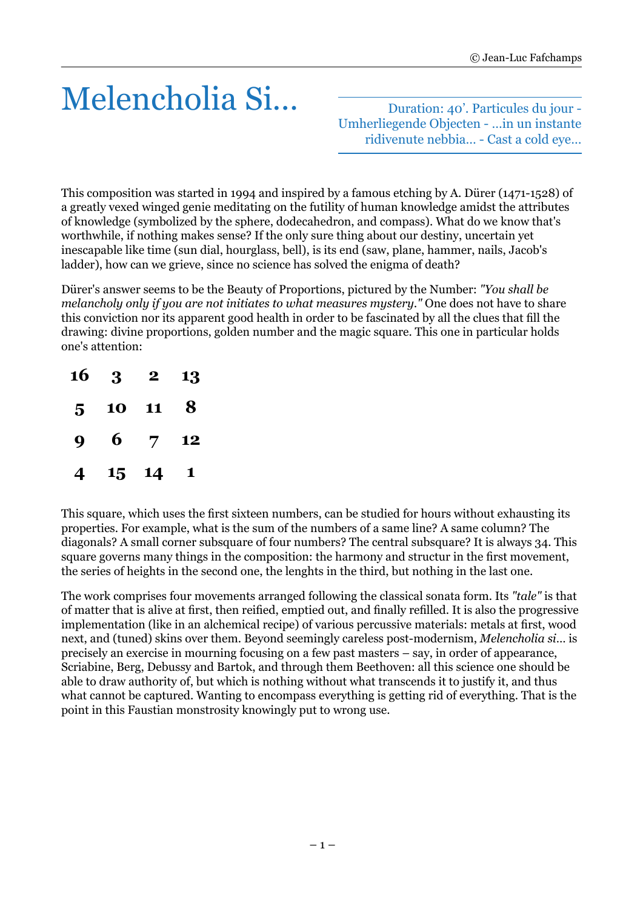## Melencholia Si…

Duration: 40'. Particules du jour - Umherliegende Objecten - …in un instante ridivenute nebbia… - Cast a cold eye…

This composition was started in 1994 and inspired by a famous etching by A. Dürer (1471-1528) of a greatly vexed winged genie meditating on the futility of human knowledge amidst the attributes of knowledge (symbolized by the sphere, dodecahedron, and compass). What do we know that's worthwhile, if nothing makes sense? If the only sure thing about our destiny, uncertain yet inescapable like time (sun dial, hourglass, bell), is its end (saw, plane, hammer, nails, Jacob's ladder), how can we grieve, since no science has solved the enigma of death?

Dürer's answer seems to be the Beauty of Proportions, pictured by the Number: *"You shall be melancholy only if you are not initiates to what measures mystery."* One does not have to share this conviction nor its apparent good health in order to be fascinated by all the clues that fill the drawing: divine proportions, golden number and the magic square. This one in particular holds one's attention:

| 16             | - 3 | $\bf{2}^-$     | 13 |
|----------------|-----|----------------|----|
| 5 <sup>1</sup> | 10  | 11             | 8  |
| 9              | 6   | $\overline{7}$ | 12 |
| 4              |     | 15 14          | 1  |

This square, which uses the first sixteen numbers, can be studied for hours without exhausting its properties. For example, what is the sum of the numbers of a same line? A same column? The diagonals? A small corner subsquare of four numbers? The central subsquare? It is always 34. This square governs many things in the composition: the harmony and structur in the first movement, the series of heights in the second one, the lenghts in the third, but nothing in the last one.

The work comprises four movements arranged following the classical sonata form. Its *"tale"* is that of matter that is alive at first, then reified, emptied out, and finally refilled. It is also the progressive implementation (like in an alchemical recipe) of various percussive materials: metals at first, wood next, and (tuned) skins over them. Beyond seemingly careless post-modernism, *Melencholia si*… is precisely an exercise in mourning focusing on a few past masters – say, in order of appearance, Scriabine, Berg, Debussy and Bartok, and through them Beethoven: all this science one should be able to draw authority of, but which is nothing without what transcends it to justify it, and thus what cannot be captured. Wanting to encompass everything is getting rid of everything. That is the point in this Faustian monstrosity knowingly put to wrong use.